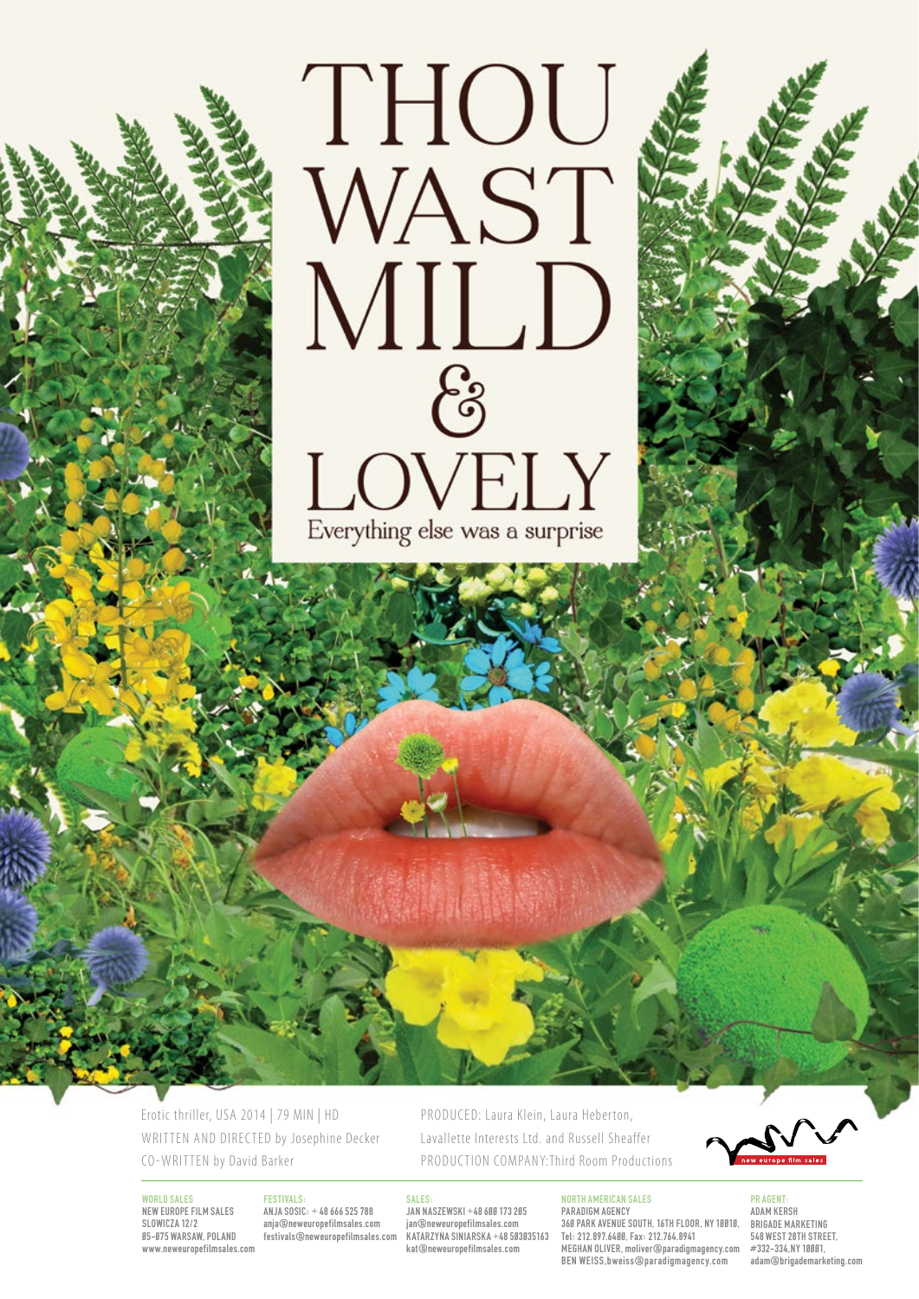

Erotic thriller, USA 2014 | 79 MIN | HD WRITTEN AND DIRECTED by Josephine Decker CO-WRITTEN by David Barker

World Sales NEW EUROPE FILM SALES SLOWICZA 12/2 05-075 WARSAW, POLAND www.neweuropefilmsales.com

# **FESTIVALS**

ANJA SOSIC: + 48 666 525 788 anja@neweuropefilmsales.com festivals@neweuropefilmsales.com

#### **SALES**

JAN NASZEWSKI +48 600 173 205 jan@neweuropefilmsales.com KATARZYNA SINIARSKA +48 503035163 kat@neweuropefilmsales.com

PRODUCED: Laura Klein, Laura Heberton, Lavallette Interests Ltd. and Russell Sheaffer PRODUCTION COMPANY: Third Room Productions

North American Sales

Paradigm Agency 360 Park Avenue South, 16th floor, NY 10010, Tel: 212.897.6400, Fax: 212.764.8941 Meghan Oliver, moliver@paradigmagency.com Ben Weiss,bweiss@paradigmagency.com

PR agent: Adam Kersh Brigade Marketing 548 West 28th Street, #332-334 NY 10001 adam@brigademarketing.com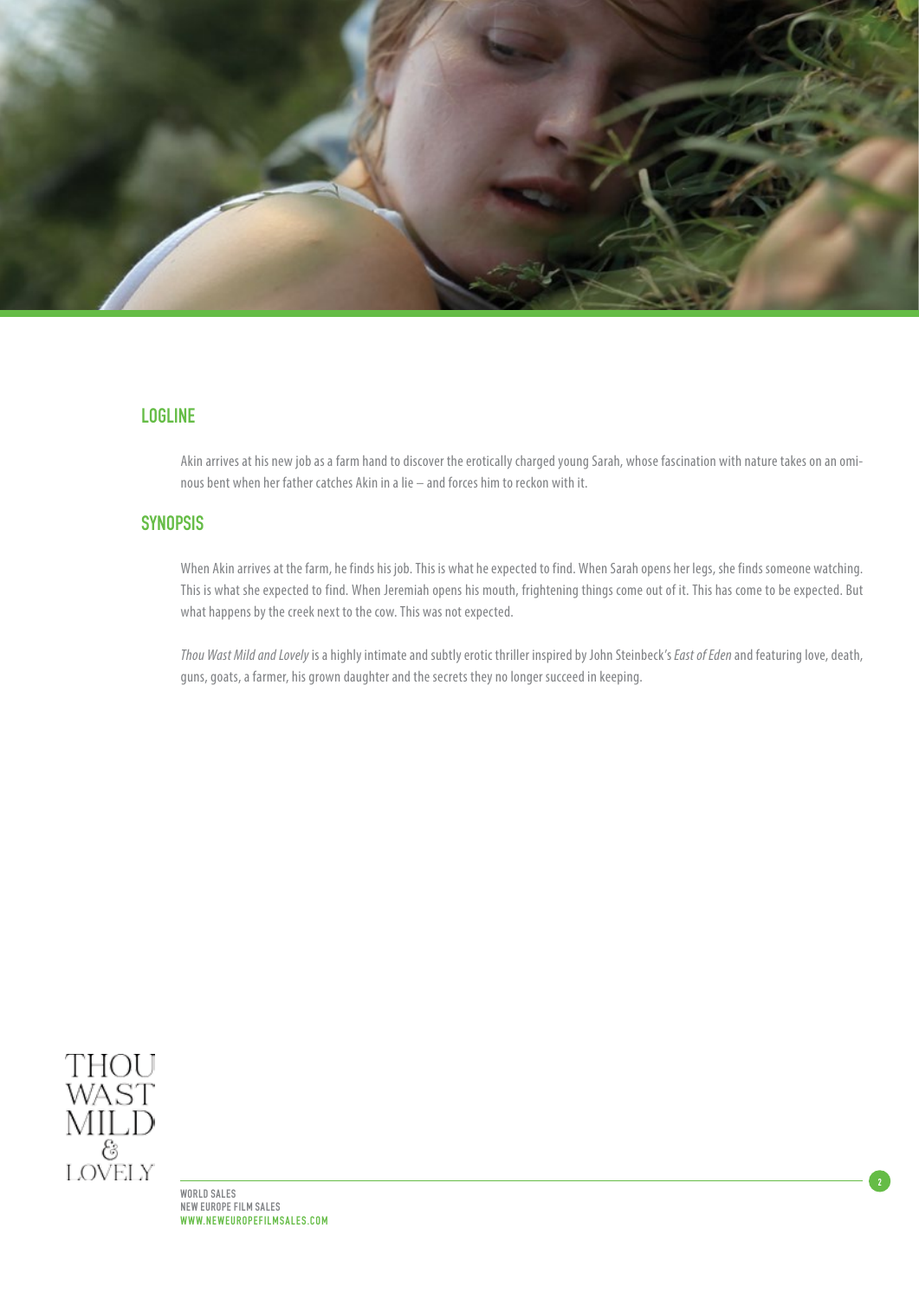

# LOGLINE

Akin arrives at his new job as a farm hand to discover the erotically charged young Sarah, whose fascination with nature takes on an ominous bent when her father catches Akin in a lie – and forces him to reckon with it.

# **SYNOPSIS**

When Akin arrives at the farm, he finds his job. This is what he expected to find. When Sarah opens her legs, she finds someone watching. This is what she expected to find. When Jeremiah opens his mouth, frightening things come out of it. This has come to be expected. But what happens by the creek next to the cow. This was not expected.

*Thou Wast Mild and Lovely* is a highly intimate and subtly erotic thriller inspired by John Steinbeck's *East of Eden* and featuring love, death, guns, goats, a farmer, his grown daughter and the secrets they no longer succeed in keeping.

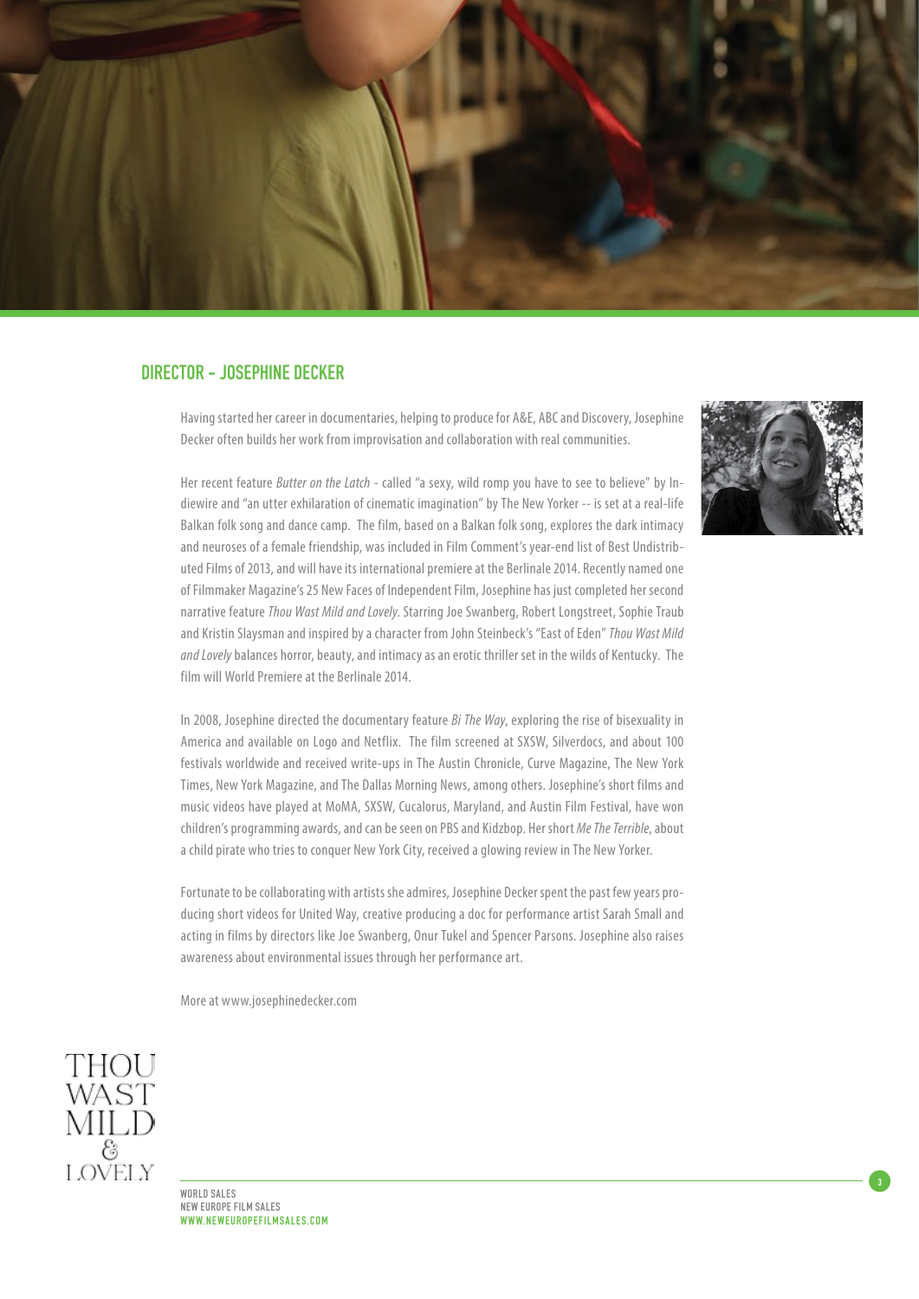

# DIRECTOR - JOSEPHINE DECKER

Having started her career in documentaries, helping to produce for A&E, ABC and Discovery, Josephine Decker often builds her work from improvisation and collaboration with real communities.

Her recent feature *Butter on the Latch* - called "a sexy, wild romp you have to see to believe" by Indiewire and "an utter exhilaration of cinematic imagination" by The New Yorker -- is set at a real-life Balkan folk song and dance camp. The film, based on a Balkan folk song, explores the dark intimacy and neuroses of a female friendship, was included in Film Comment's year-end list of Best Undistributed Films of 2013, and will have its international premiere at the Berlinale 2014. Recently named one of Filmmaker Magazine's 25 New Faces of Independent Film, Josephine has just completed her second narrative feature *Thou Wast Mild and Lovely*. Starring Joe Swanberg, Robert Longstreet, Sophie Traub and Kristin Slaysman and inspired by a character from John Steinbeck's "East of Eden" *Thou Wast Mild and Lovely* balances horror, beauty, and intimacy as an erotic thriller set in the wilds of Kentucky. The film will World Premiere at the Berlinale 2014.

In 2008, Josephine directed the documentary feature *Bi The Way*, exploring the rise of bisexuality in America and available on Logo and Netflix. The film screened at SXSW, Silverdocs, and about 100 festivals worldwide and received write‐ups in The Austin Chronicle, Curve Magazine, The New York Times, New York Magazine, and The Dallas Morning News, among others. Josephine's short films and music videos have played at MoMA, SXSW, Cucalorus, Maryland, and Austin Film Festival, have won children's programming awards, and can be seen on PBS and Kidzbop. Her short *Me The Terrible*, about a child pirate who tries to conquer New York City, received a glowing review in The New Yorker.

Fortunate to be collaborating with artists she admires, Josephine Decker spent the past few years producing short videos for United Way, creative producing a doc for performance artist Sarah Small and acting in films by directors like Joe Swanberg, Onur Tukel and Spencer Parsons. Josephine also raises awareness about environmental issues through her performance art.

More at www.josephinedecker.com



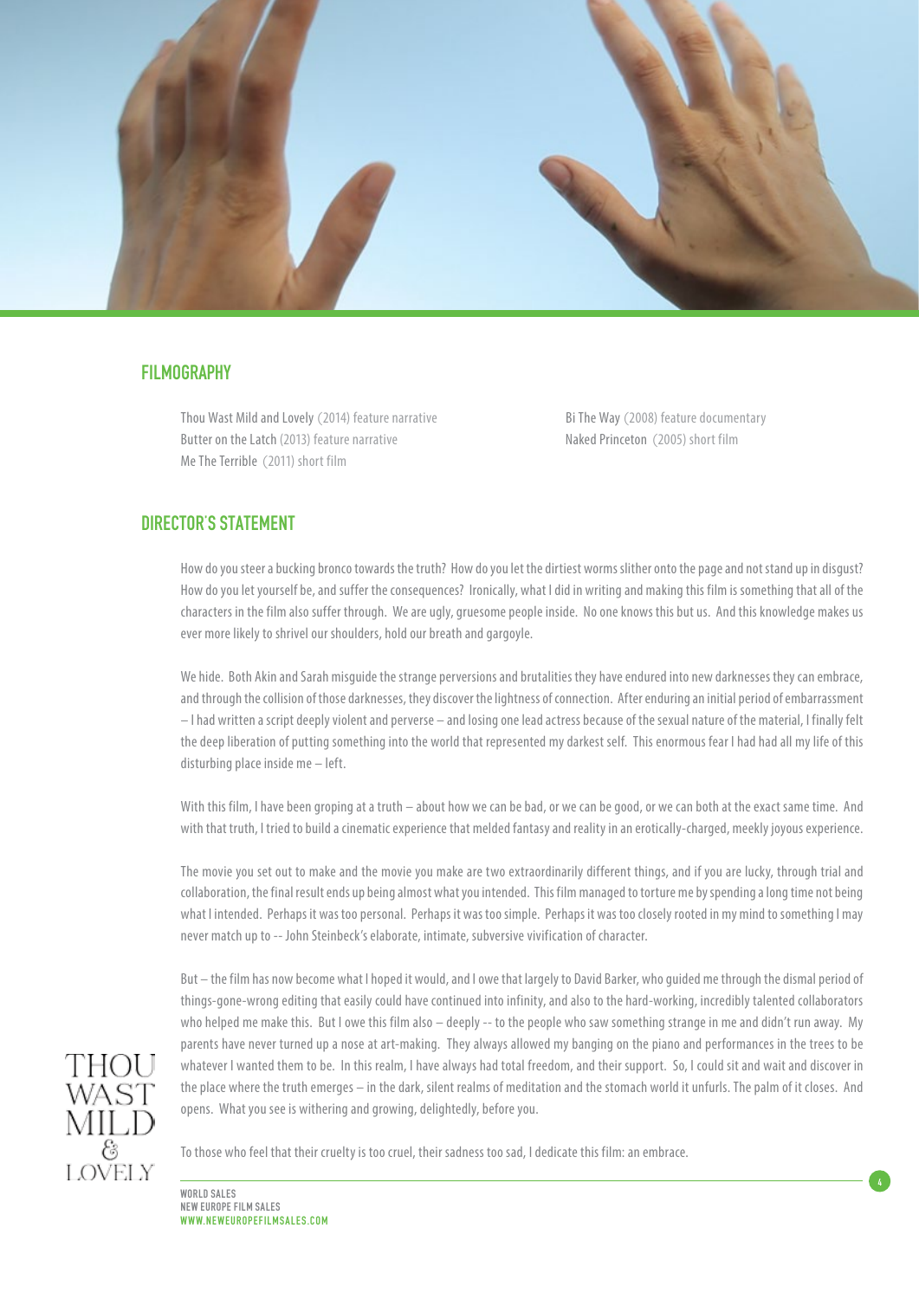

# **FILMOGRAPHY**

Thou Wast Mild and Lovely (2014) feature narrative Butter on the Latch (2013) feature narrative Me The Terrible (2011) short film

Bi The Way (2008) feature documentary Naked Princeton (2005) short film

4

# DIRECTOR'S STATEMENT

How do you steer a bucking bronco towards the truth? How do you let the dirtiest worms slither onto the page and not stand up in disgust? How do you let yourself be, and suffer the consequences? Ironically, what I did in writing and making this film is something that all of the characters in the film also suffer through. We are ugly, gruesome people inside. No one knows this but us. And this knowledge makes us ever more likely to shrivel our shoulders, hold our breath and gargoyle.

We hide. Both Akin and Sarah misguide the strange perversions and brutalities they have endured into new darknesses they can embrace, and through the collision of those darknesses, they discover the lightness of connection. After enduring an initial period of embarrassment – I had written a script deeply violent and perverse – and losing one lead actress because of the sexual nature of the material, I finally felt the deep liberation of putting something into the world that represented my darkest self. This enormous fear I had had all my life of this disturbing place inside me – left.

With this film, I have been groping at a truth – about how we can be bad, or we can be good, or we can both at the exact same time. And with that truth, I tried to build a cinematic experience that melded fantasy and reality in an erotically-charged, meekly joyous experience.

The movie you set out to make and the movie you make are two extraordinarily different things, and if you are lucky, through trial and collaboration, the final result ends up being almost what you intended. This film managed to torture me by spending a long time not being what I intended. Perhaps it was too personal. Perhaps it was too simple. Perhaps it was too closely rooted in my mind to something I may never match up to -- John Steinbeck's elaborate, intimate, subversive vivification of character.

But – the film has now become what I hoped it would, and I owe that largely to David Barker, who guided me through the dismal period of things-gone-wrong editing that easily could have continued into infinity, and also to the hard-working, incredibly talented collaborators who helped me make this. But I owe this film also – deeply -- to the people who saw something strange in me and didn't run away. My parents have never turned up a nose at art-making. They always allowed my banging on the piano and performances in the trees to be whatever I wanted them to be. In this realm, I have always had total freedom, and their support. So, I could sit and wait and discover in the place where the truth emerges – in the dark, silent realms of meditation and the stomach world it unfurls. The palm of it closes. And opens. What you see is withering and growing, delightedly, before you.



To those who feel that their cruelty is too cruel, their sadness too sad, I dedicate this film: an embrace.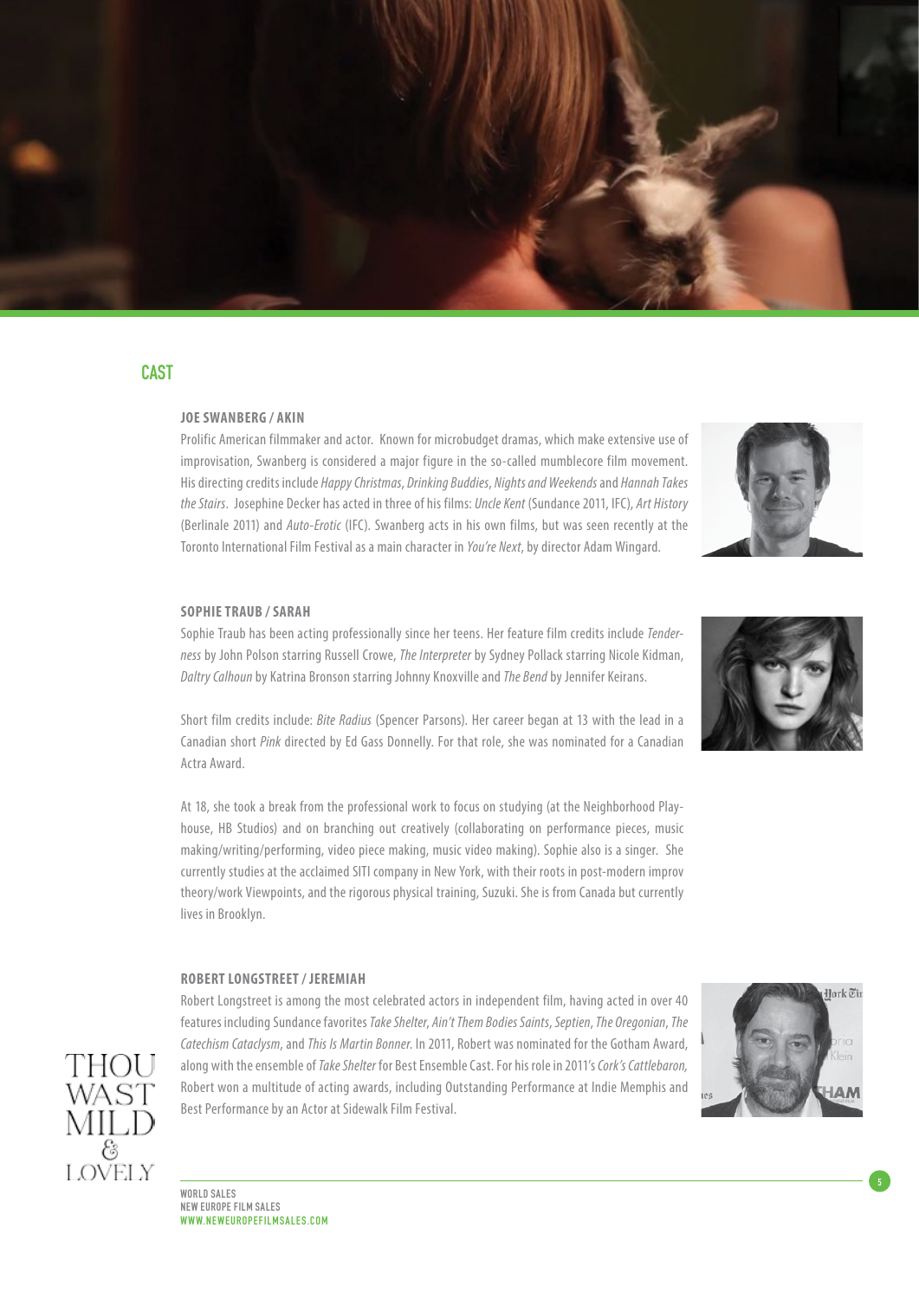

# CAST

# **JOE SWANRERG / AKIN**

Prolific American filmmaker and actor. Known for microbudget dramas, which make extensive use of improvisation, Swanberg is considered a major figure in the so-called mumblecore film movement. His directing credits include *Happy Christmas*, *Drinking Buddies*, *Nights and Weekends* and *Hannah Takes the Stairs*. Josephine Decker has acted in three of his films: *Uncle Kent* (Sundance 2011, IFC), *Art History* (Berlinale 2011) and *Auto-Erotic* (IFC). Swanberg acts in his own films, but was seen recently at the Toronto International Film Festival as a main character in *You're Next*, by director Adam Wingard.



#### **SOPHIE TRAUB / SARAH**

Sophie Traub has been acting professionally since her teens. Her feature film credits include *Tenderness* by John Polson starring Russell Crowe, *The Interpreter* by Sydney Pollack starring Nicole Kidman, *Daltry Calhoun* by Katrina Bronson starring Johnny Knoxville and *The Bend* by Jennifer Keirans.

Short film credits include: *Bite Radius* (Spencer Parsons). Her career began at 13 with the lead in a Canadian short *Pink* directed by Ed Gass Donnelly. For that role, she was nominated for a Canadian Actra Award.

At 18, she took a break from the professional work to focus on studying (at the Neighborhood Playhouse, HB Studios) and on branching out creatively (collaborating on performance pieces, music making/writing/performing, video piece making, music video making). Sophie also is a singer. She currently studies at the acclaimed SITI company in New York, with their roots in post-modern improv theory/work Viewpoints, and the rigorous physical training, Suzuki. She is from Canada but currently lives in Brooklyn.

#### **ROBERT LONGSTREET / JEREMIAH**

Robert Longstreet is among the most celebrated actors in independent film, having acted in over 40 features including Sundance favorites *Take Shelter*, *Ain't Them Bodies Saints*, *Septien*, *The Oregonian*, *The Catechism Cataclysm*, and *This Is Martin Bonner*. In 2011, Robert was nominated for the Gotham Award, along with the ensemble of *Take Shelter* for Best Ensemble Cast. For his role in 2011's *Cork's Cattlebaron,*  Robert won a multitude of acting awards, including Outstanding Performance at Indie Memphis and Best Performance by an Actor at Sidewalk Film Festival.





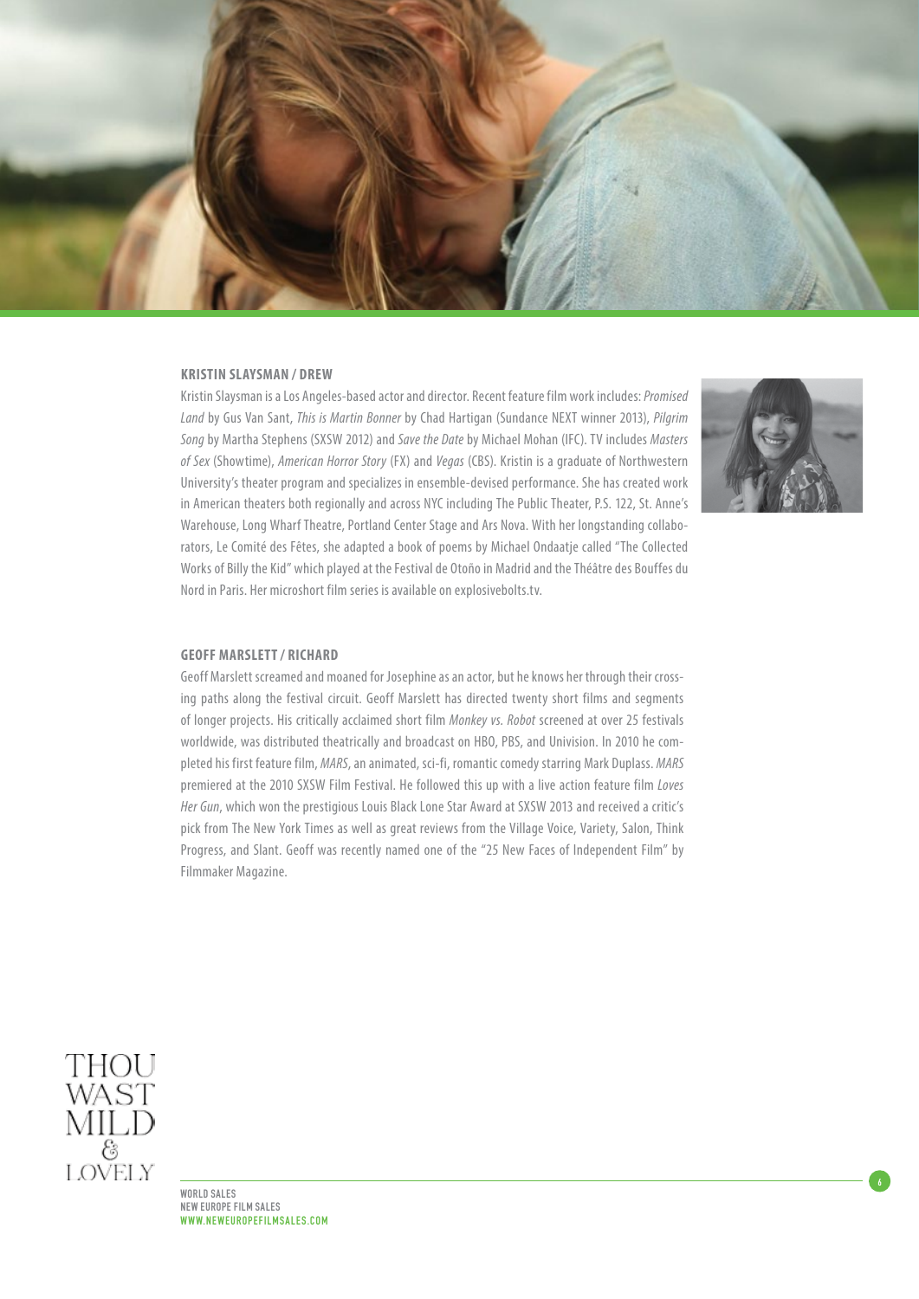

## **KRISTIN SLAYSMAN / DREW**

Kristin Slaysman is a Los Angeles-based actor and director. Recent feature film work includes: *Promised Land* by Gus Van Sant, *This is Martin Bonner* by Chad Hartigan (Sundance NEXT winner 2013), *Pilgrim Song* by Martha Stephens (SXSW 2012) and *Save the Date* by Michael Mohan (IFC). TV includes *Masters of Sex* (Showtime), *American Horror Story* (FX) and *Vegas* (CBS). Kristin is a graduate of Northwestern University's theater program and specializes in ensemble-devised performance. She has created work in American theaters both regionally and across NYC including The Public Theater, P.S. 122, St. Anne's Warehouse, Long Wharf Theatre, Portland Center Stage and Ars Nova. With her longstanding collaborators, Le Comité des Fêtes, she adapted a book of poems by Michael Ondaatje called "The Collected Works of Billy the Kid" which played at the Festival de Otoño in Madrid and the Théâtre des Bouffes du Nord in Paris. Her microshort film series is available on explosivebolts.tv.



6

## **Geoff Marslett / Richard**

Geoff Marslett screamed and moaned for Josephine as an actor, but he knows her through their crossing paths along the festival circuit. Geoff Marslett has directed twenty short films and segments of longer projects. His critically acclaimed short film *Monkey vs. Robot* screened at over 25 festivals worldwide, was distributed theatrically and broadcast on HBO, PBS, and Univision. In 2010 he completed his first feature film, *MARS*, an animated, sci-fi, romantic comedy starring Mark Duplass. *MARS* premiered at the 2010 SXSW Film Festival. He followed this up with a live action feature film *Loves Her Gun*, which won the prestigious Louis Black Lone Star Award at SXSW 2013 and received a critic's pick from The New York Times as well as great reviews from the Village Voice, Variety, Salon, Think Progress, and Slant. Geoff was recently named one of the "25 New Faces of Independent Film" by Filmmaker Magazine.



WORLD SALES NEW EUROPE FILM SALES WWW.NEWEUROPEFILMSALES.COM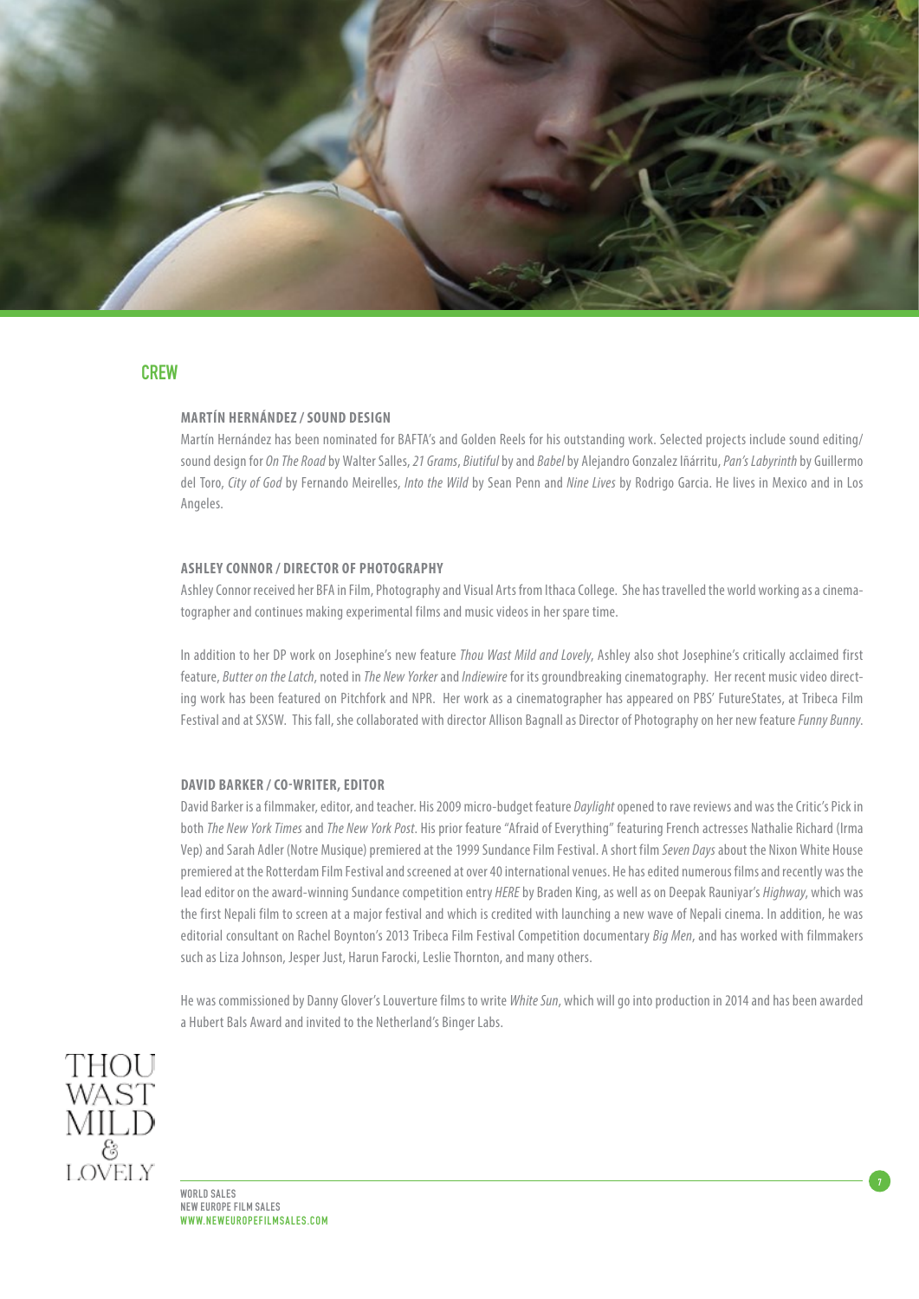

# **CREW**

# **MARTÍN HERNÁNDEZ / SOUND DESIGN**

Martín Hernández has been nominated for BAFTA's and Golden Reels for his outstanding work. Selected projects include sound editing/ sound design for *On The Road* by Walter Salles, *21 Grams*, *Biutiful* by and *Babel* by Alejandro Gonzalez Iñárritu, *Pan's Labyrinth* by Guillermo del Toro, *City of God* by Fernando Meirelles, *Into the Wild* by Sean Penn and *Nine Lives* by Rodrigo Garcia. He lives in Mexico and in Los Angeles.

## **ASHLEY CONNOR / DIRECTOR OF PHOTOGRAPHY**

Ashley Connor received her BFA in Film, Photography and Visual Arts from Ithaca College. She has travelled the world working as a cinematographer and continues making experimental films and music videos in her spare time.

In addition to her DP work on Josephine's new feature *Thou Wast Mild and Lovely*, Ashley also shot Josephine's critically acclaimed first feature, *Butter on the Latch*, noted in *The New Yorker* and *Indiewire* for its groundbreaking cinematography. Her recent music video directing work has been featured on Pitchfork and NPR. Her work as a cinematographer has appeared on PBS' FutureStates, at Tribeca Film Festival and at SXSW. This fall, she collaborated with director Allison Bagnall as Director of Photography on her new feature *Funny Bunny*.

## **DAVID BARKER / CO-WRITER, EDITOR**

David Barker is a filmmaker, editor, and teacher. His 2009 micro-budget feature *Daylight* opened to rave reviews and was the Critic's Pick in both *The New York Times* and *The New York Post*. His prior feature "Afraid of Everything" featuring French actresses Nathalie Richard (Irma Vep) and Sarah Adler (Notre Musique) premiered at the 1999 Sundance Film Festival. A short film *Seven Days* about the Nixon White House premiered at the Rotterdam Film Festival and screened at over 40 international venues. He has edited numerous films and recently was the lead editor on the award-winning Sundance competition entry *HERE* by Braden King, as well as on Deepak Rauniyar's *Highway*, which was the first Nepali film to screen at a major festival and which is credited with launching a new wave of Nepali cinema. In addition, he was editorial consultant on Rachel Boynton's 2013 Tribeca Film Festival Competition documentary *Big Men*, and has worked with filmmakers such as Liza Johnson, Jesper Just, Harun Farocki, Leslie Thornton, and many others.

He was commissioned by Danny Glover's Louverture films to write *White Sun*, which will go into production in 2014 and has been awarded a Hubert Bals Award and invited to the Netherland's Binger Labs.

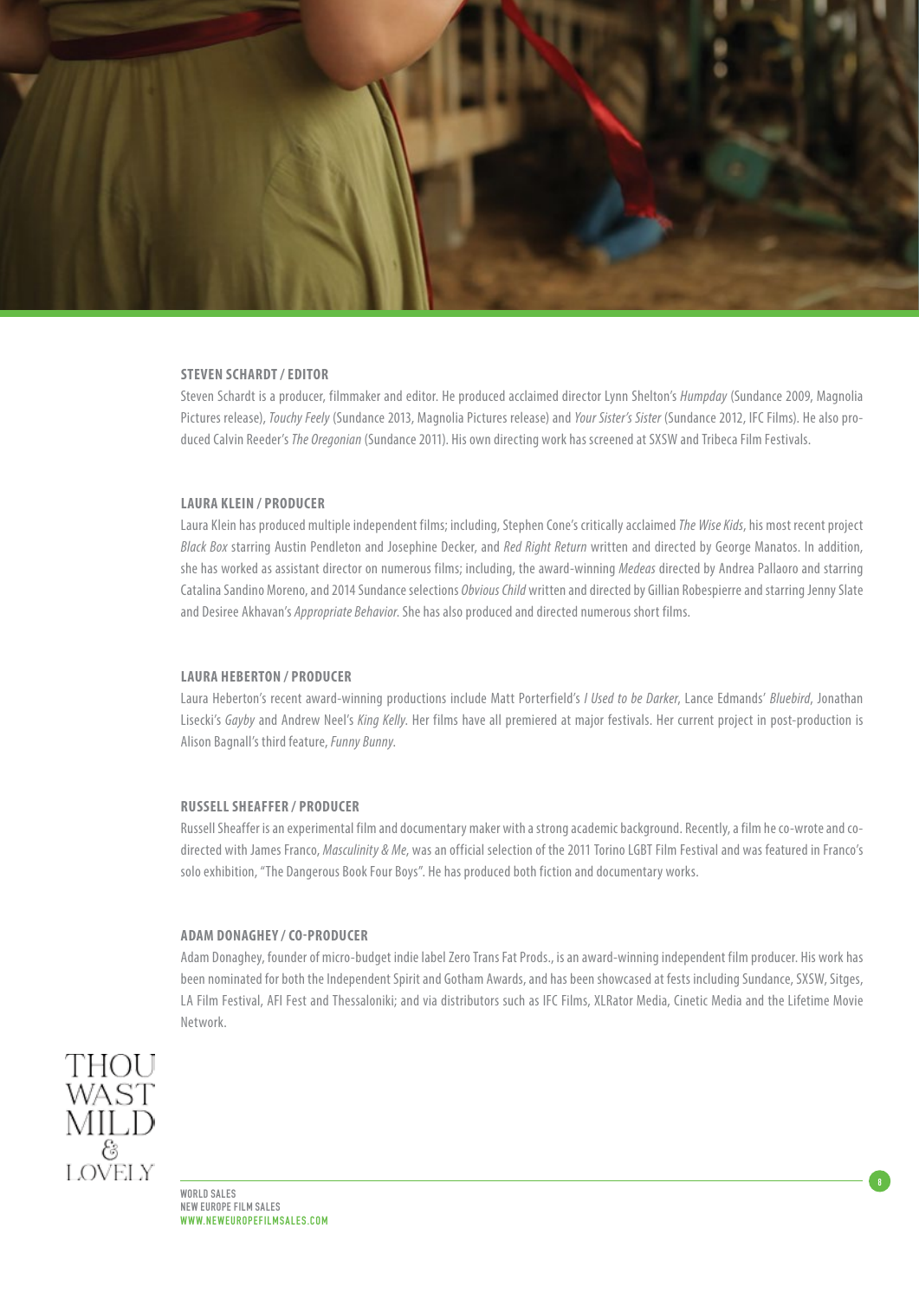

## **STEVEN SCHARDT / EDITOR**

Steven Schardt is a producer, filmmaker and editor. He produced acclaimed director Lynn Shelton's *Humpday* (Sundance 2009, Magnolia Pictures release), *Touchy Feely* (Sundance 2013, Magnolia Pictures release) and *Your Sister's Sister* (Sundance 2012, IFC Films). He also produced Calvin Reeder's *The Oregonian* (Sundance 2011). His own directing work has screened at SXSW and Tribeca Film Festivals.

# **LAURA KLEIN / PRODUCER**

Laura Klein has produced multiple independent films; including, Stephen Cone's critically acclaimed *The Wise Kids*, his most recent project *Black Box* starring Austin Pendleton and Josephine Decker, and *Red Right Return* written and directed by George Manatos. In addition, she has worked as assistant director on numerous films; including, the award-winning *Medeas* directed by Andrea Pallaoro and starring Catalina Sandino Moreno, and 2014 Sundance selections *Obvious Child* written and directed by Gillian Robespierre and starring Jenny Slate and Desiree Akhavan's *Appropriate Behavior*. She has also produced and directed numerous short films.

#### **LAURA HEBERTON / PRODUCER**

Laura Heberton's recent award-winning productions include Matt Porterfield's *I Used to be Darker*, Lance Edmands' *Bluebird*, Jonathan Lisecki's *Gayby* and Andrew Neel's *King Kelly*. Her films have all premiered at major festivals. Her current project in post-production is Alison Bagnall's third feature, *Funny Bunny*.

#### **RUSSELL SHEAFFER / PRODUCER**

Russell Sheaffer is an experimental film and documentary maker with a strong academic background. Recently, a film he co-wrote and codirected with James Franco, *Masculinity & Me*, was an official selection of the 2011 Torino LGBT Film Festival and was featured in Franco's solo exhibition, "The Dangerous Book Four Boys". He has produced both fiction and documentary works.

## **ADAM DONAGHEY / CO-PRODUCER**

Adam Donaghey, founder of micro-budget indie label Zero Trans Fat Prods., is an award-winning independent film producer. His work has been nominated for both the Independent Spirit and Gotham Awards, and has been showcased at fests including Sundance, SXSW, Sitges, LA Film Festival, AFI Fest and Thessaloniki; and via distributors such as IFC Films, XLRator Media, Cinetic Media and the Lifetime Movie Network.

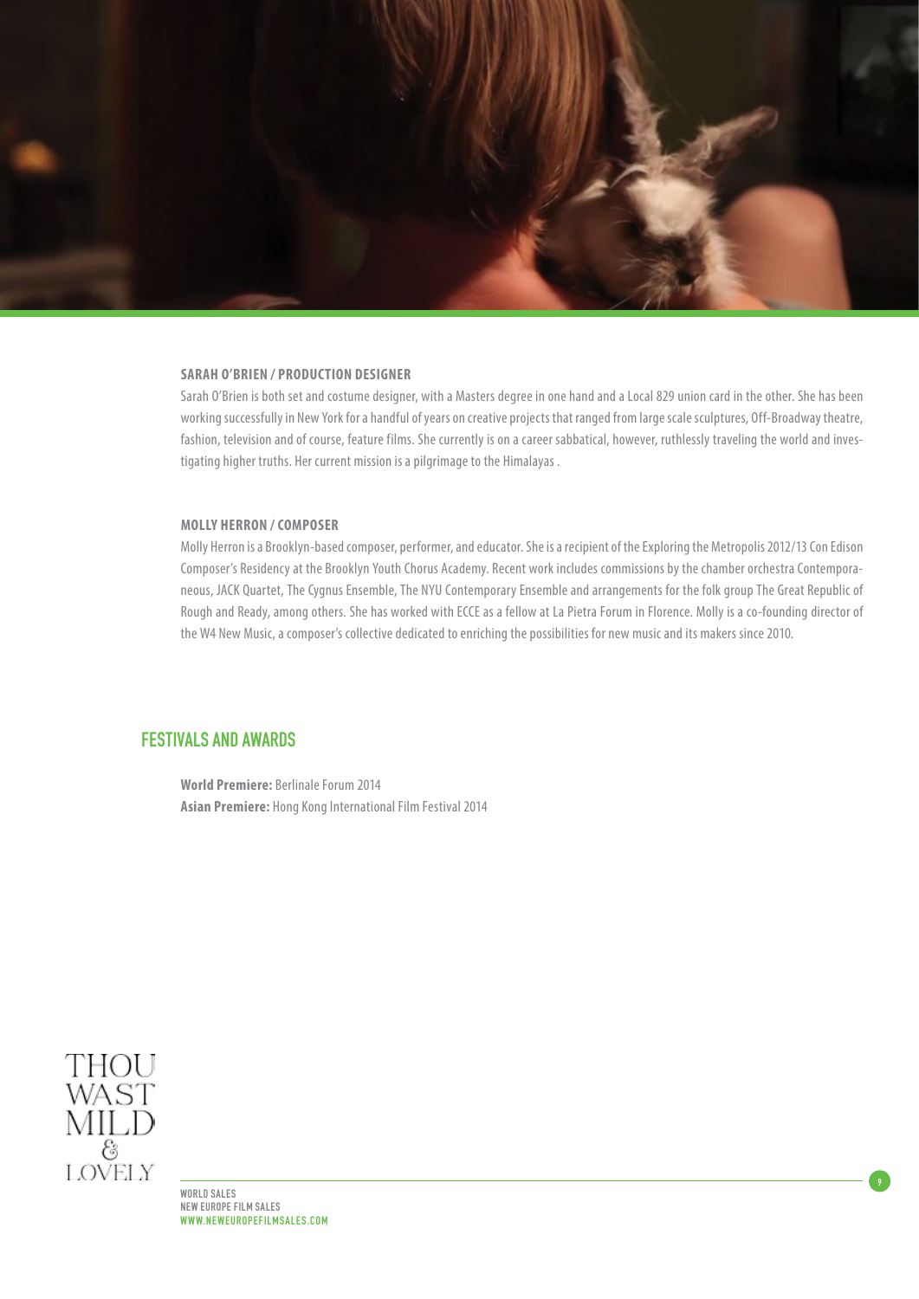

### **SARAH O'BRIEN / PRODUCTION DESIGNER**

Sarah O'Brien is both set and costume designer, with a Masters degree in one hand and a Local 829 union card in the other. She has been working successfully in New York for a handful of years on creative projects that ranged from large scale sculptures, Off-Broadway theatre, fashion, television and of course, feature films. She currently is on a career sabbatical, however, ruthlessly traveling the world and investigating higher truths. Her current mission is a pilgrimage to the Himalayas .

### **MOLLY HERRON / COMPOSER**

Molly Herron is a Brooklyn-based composer, performer, and educator. She is a recipient of the Exploring the Metropolis 2012/13 Con Edison Composer's Residency at the Brooklyn Youth Chorus Academy. Recent work includes commissions by the chamber orchestra Contemporaneous, JACK Quartet, The Cygnus Ensemble, The NYU Contemporary Ensemble and arrangements for the folk group The Great Republic of Rough and Ready, among others. She has worked with ECCE as a fellow at La Pietra Forum in Florence. Molly is a co-founding director of the W4 New Music, a composer's collective dedicated to enriching the possibilities for new music and its makers since 2010.

9

# FESTIVALS AND AWARDS

**World Premiere:** Berlinale Forum 2014 **Asian Premiere:** Hong Kong International Film Festival 2014



WORLD SALES NEW EUROPE FILM SALES WWW.NEWEUROPEFILMSALES.COM